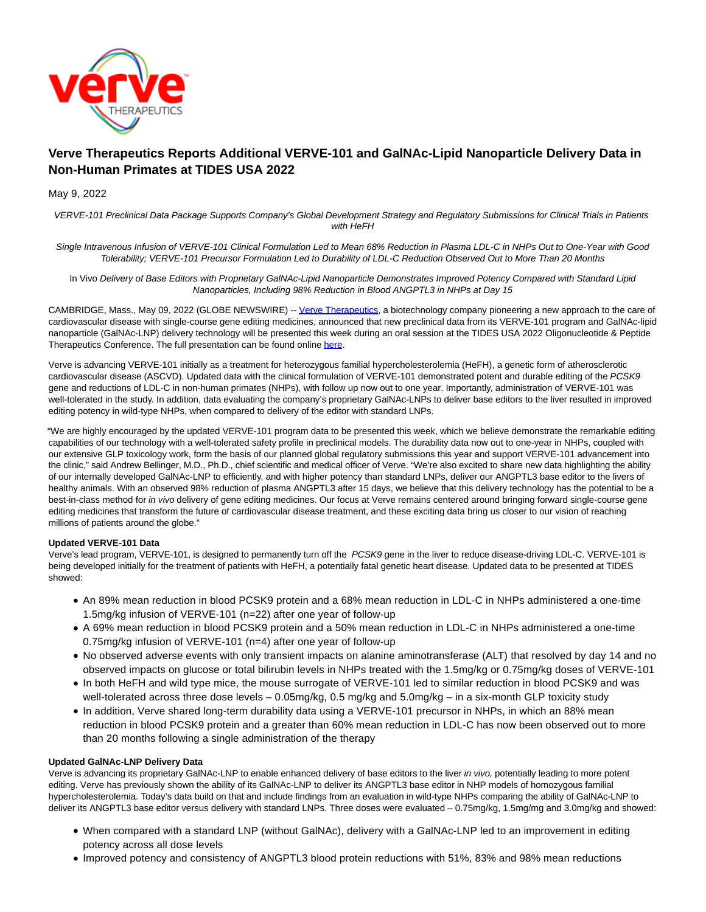

# **Verve Therapeutics Reports Additional VERVE-101 and GalNAc-Lipid Nanoparticle Delivery Data in Non-Human Primates at TIDES USA 2022**

# May 9, 2022

VERVE-101 Preclinical Data Package Supports Company's Global Development Strategy and Regulatory Submissions for Clinical Trials in Patients with HeFH

Single Intravenous Infusion of VERVE-101 Clinical Formulation Led to Mean 68% Reduction in Plasma LDL-C in NHPs Out to One-Year with Good Tolerability; VERVE-101 Precursor Formulation Led to Durability of LDL-C Reduction Observed Out to More Than 20 Months

In Vivo Delivery of Base Editors with Proprietary GalNAc-Lipid Nanoparticle Demonstrates Improved Potency Compared with Standard Lipid Nanoparticles, Including 98% Reduction in Blood ANGPTL3 in NHPs at Day 15

CAMBRIDGE, Mass., May 09, 2022 (GLOBE NEWSWIRE) -[- Verve Therapeutics,](https://www.globenewswire.com/Tracker?data=AeIdsToKG9if107-fKWmGOcPfSdPGvAZeh9C-ZM1umn4vSaEq6isozUsRImlNheKfW7Qg8LIvOnDqmTNuRYKIw==) a biotechnology company pioneering a new approach to the care of cardiovascular disease with single-course gene editing medicines, announced that new preclinical data from its VERVE-101 program and GalNAc-lipid nanoparticle (GalNAc-LNP) delivery technology will be presented this week during an oral session at the TIDES USA 2022 Oligonucleotide & Peptide Therapeutics Conference. The full presentation can be found onlin[e here.](https://www.globenewswire.com/Tracker?data=PeH3RmV5qmvewWh17ex3uu_PiBJAF6ePg92R7pwkLmkyHgzREt6TCZCaGPRTD8T-T2ui8Ym1OidijmpaFYqgKg==)

Verve is advancing VERVE-101 initially as a treatment for heterozygous familial hypercholesterolemia (HeFH), a genetic form of atherosclerotic cardiovascular disease (ASCVD). Updated data with the clinical formulation of VERVE-101 demonstrated potent and durable editing of the PCSK9 gene and reductions of LDL-C in non-human primates (NHPs), with follow up now out to one year. Importantly, administration of VERVE-101 was well-tolerated in the study. In addition, data evaluating the company's proprietary GalNAc-LNPs to deliver base editors to the liver resulted in improved editing potency in wild-type NHPs, when compared to delivery of the editor with standard LNPs.

"We are highly encouraged by the updated VERVE-101 program data to be presented this week, which we believe demonstrate the remarkable editing capabilities of our technology with a well-tolerated safety profile in preclinical models. The durability data now out to one-year in NHPs, coupled with our extensive GLP toxicology work, form the basis of our planned global regulatory submissions this year and support VERVE-101 advancement into the clinic," said Andrew Bellinger, M.D., Ph.D., chief scientific and medical officer of Verve. "We're also excited to share new data highlighting the ability of our internally developed GalNAc-LNP to efficiently, and with higher potency than standard LNPs, deliver our ANGPTL3 base editor to the livers of healthy animals. With an observed 98% reduction of plasma ANGPTL3 after 15 days, we believe that this delivery technology has the potential to be a best-in-class method for in vivo delivery of gene editing medicines. Our focus at Verve remains centered around bringing forward single-course gene editing medicines that transform the future of cardiovascular disease treatment, and these exciting data bring us closer to our vision of reaching millions of patients around the globe."

# **Updated VERVE-101 Data**

Verve's lead program, VERVE-101, is designed to permanently turn off the PCSK9 gene in the liver to reduce disease-driving LDL-C. VERVE-101 is being developed initially for the treatment of patients with HeFH, a potentially fatal genetic heart disease. Updated data to be presented at TIDES showed:

- An 89% mean reduction in blood PCSK9 protein and a 68% mean reduction in LDL-C in NHPs administered a one-time 1.5mg/kg infusion of VERVE-101 (n=22) after one year of follow-up
- A 69% mean reduction in blood PCSK9 protein and a 50% mean reduction in LDL-C in NHPs administered a one-time 0.75mg/kg infusion of VERVE-101 (n=4) after one year of follow-up
- No observed adverse events with only transient impacts on alanine aminotransferase (ALT) that resolved by day 14 and no observed impacts on glucose or total bilirubin levels in NHPs treated with the 1.5mg/kg or 0.75mg/kg doses of VERVE-101
- In both HeFH and wild type mice, the mouse surrogate of VERVE-101 led to similar reduction in blood PCSK9 and was well-tolerated across three dose levels – 0.05mg/kg, 0.5 mg/kg and 5.0mg/kg – in a six-month GLP toxicity study
- In addition, Verve shared long-term durability data using a VERVE-101 precursor in NHPs, in which an 88% mean reduction in blood PCSK9 protein and a greater than 60% mean reduction in LDL-C has now been observed out to more than 20 months following a single administration of the therapy

#### **Updated GalNAc-LNP Delivery Data**

Verve is advancing its proprietary GalNAc-LNP to enable enhanced delivery of base editors to the liver in vivo, potentially leading to more potent editing. Verve has previously shown the ability of its GalNAc-LNP to deliver its ANGPTL3 base editor in NHP models of homozygous familial hypercholesterolemia. Today's data build on that and include findings from an evaluation in wild-type NHPs comparing the ability of GalNAc-LNP to deliver its ANGPTL3 base editor versus delivery with standard LNPs. Three doses were evaluated – 0.75mg/kg, 1.5mg/mg and 3.0mg/kg and showed:

- When compared with a standard LNP (without GalNAc), delivery with a GalNAc-LNP led to an improvement in editing potency across all dose levels
- Improved potency and consistency of ANGPTL3 blood protein reductions with 51%, 83% and 98% mean reductions